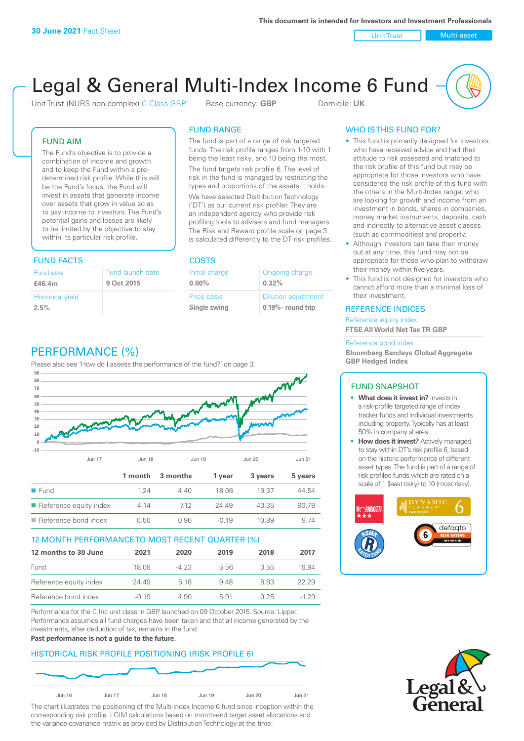Unit Trust Nulti-asset

# Legal & General Multi-Index Income 6 Fund

Unit Trust (NURS non-complex) C-Class GBP Base currency: **GBP** Domicile: UK

The fund is part of a range of risk targeted funds. The risk profile ranges from 1-10 with 1 being the least risky, and 10 being the most. The fund targets risk profile 6. The level of risk in the fund is managed by restricting the types and proportions of the assets it holds. We have selected Distribution Technology ('DT') as our current risk profiler. They are an independent agency who provide risk profiling tools to advisers and fund managers.

## FUND AIM

The Fund's objective is to provide a combination of income and growth and to keep the Fund within a predetermined risk profile. While this will be the Fund's focus, the Fund will invest in assets that generate income over assets that grow in value so as to pay income to investors. The Fund's potential gains and losses are likely to be limited by the objective to stay within its particular risk profile.

## **FUND FACTS**

| Fund size               | Fund launch date |
|-------------------------|------------------|
| £46.4m                  | 9 Oct 2015       |
| <b>Historical yield</b> |                  |
| 2.5%                    |                  |

#### The Risk and Reward profile scale on page 3 is calculated differently to the DT risk profiles.

FUND RANGE

| <b>COSTS</b>       |                            |
|--------------------|----------------------------|
| Initial charge     | Ongoing charge             |
| $0.00\%$           | 0.32%                      |
| <b>Price basis</b> | <b>Dilution adjustment</b> |
| Single swing       | $0.19\%$ - round trip      |

# PERFORMANCE (%)

Please also see 'How do I assess the performance of the fund?' on page 3.



#### 12 MONTH PERFORMANCE TO MOST RECENT QUARTER (%)

| 12 months to 30 June   | 2021    | 2020   | 2019 | 2018 | 2017   |
|------------------------|---------|--------|------|------|--------|
| Fund                   | 18.08   | $-423$ | 556  | 3.55 | 16.94  |
| Reference equity index | 24.49   | 5 18   | 948  | 883  | 22.29  |
| Reference bond index   | $-0.19$ | 4.90   | 5.91 | በ 25 | $-129$ |

Performance for the C Inc unit class in GBP, launched on 09 October 2015. Source: Lipper. Performance assumes all fund charges have been taken and that all income generated by the investments, after deduction of tax, remains in the fund.

#### **Past performance is not a guide to the future.**

### HISTORICAL RISK PROFILE POSITIONING (RISK PROFILE 6)



The chart illustrates the positioning of the Multi-Index Income 6 fund since inception within the corresponding risk profile. LGIM calculations based on month-end target asset allocations and the variance-covariance matrix as provided by Distribution Technology at the time.

## WHO IS THIS FUND FOR?

- This fund is primarily designed for investors: who have received advice and had their attitude to risk assessed and matched to the risk profile of this fund but may be appropriate for those investors who have considered the risk profile of this fund with the others in the Multi-Index range; who are looking for growth and income from an investment in bonds, shares in companies, money market instruments, deposits, cash and indirectly to alternative asset classes (such as commodities) and property.
- Although investors can take their money out at any time, this fund may not be appropriate for those who plan to withdraw their money within five years.
- This fund is not designed for investors who cannot afford more than a minimal loss of their investment.

#### REFERENCE INDICES

Reference equity index **FTSE All World Net Tax TR GBP**

#### Reference bond index

**Bloomberg Barclays Global Aggregate GBP Hedged Index**

#### FUND SNAPSHOT

- **• What does it invest in?** Invests in a risk-profile targeted range of index tracker funds and individual investments including property. Typically has at least 50% in company shares.
- **• How does it invest?** Actively managed to stay within DT's risk profile 6, based on the historic performance of different asset types. The fund is part of a range of risk profiled funds which are rated on a scale of 1 (least risky) to 10 (most risky).



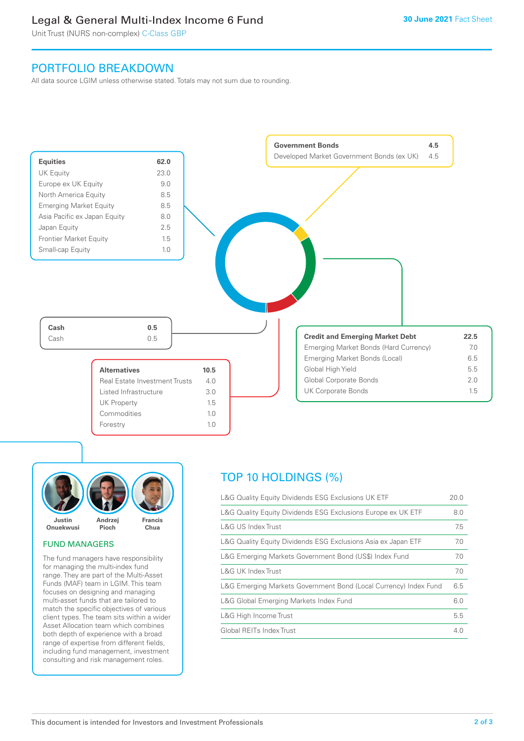# Legal & General Multi-Index Income 6 Fund

Unit Trust (NURS non-complex) C-Class GBP

# PORTFOLIO BREAKDOWN

All data source LGIM unless otherwise stated. Totals may not sum due to rounding.





### FUND MANAGERS

The fund managers have responsibility for managing the multi-index fund range. They are part of the Multi-Asset Funds (MAF) team in LGIM. This team focuses on designing and managing multi-asset funds that are tailored to match the specific objectives of various client types. The team sits within a wider Asset Allocation team which combines both depth of experience with a broad range of expertise from different fields, including fund management, investment consulting and risk management roles.

# TOP 10 HOLDINGS (%)

| L&G Quality Equity Dividends ESG Exclusions UK ETF               | 20.0 |
|------------------------------------------------------------------|------|
| L&G Quality Equity Dividends ESG Exclusions Europe ex UK ETF     | 8.0  |
| L&G US Index Trust                                               | 7.5  |
| L&G Quality Equity Dividends ESG Exclusions Asia ex Japan ETF    | 7.0  |
| L&G Emerging Markets Government Bond (US\$) Index Fund           | 7.0  |
| L&G UK Index Trust                                               | 7.0  |
| L&G Emerging Markets Government Bond (Local Currency) Index Fund | 6.5  |
| L&G Global Emerging Markets Index Fund                           | 6.0  |
| L&G High Income Trust                                            | 5.5  |
| Global REITs Index Trust                                         | 4 N  |